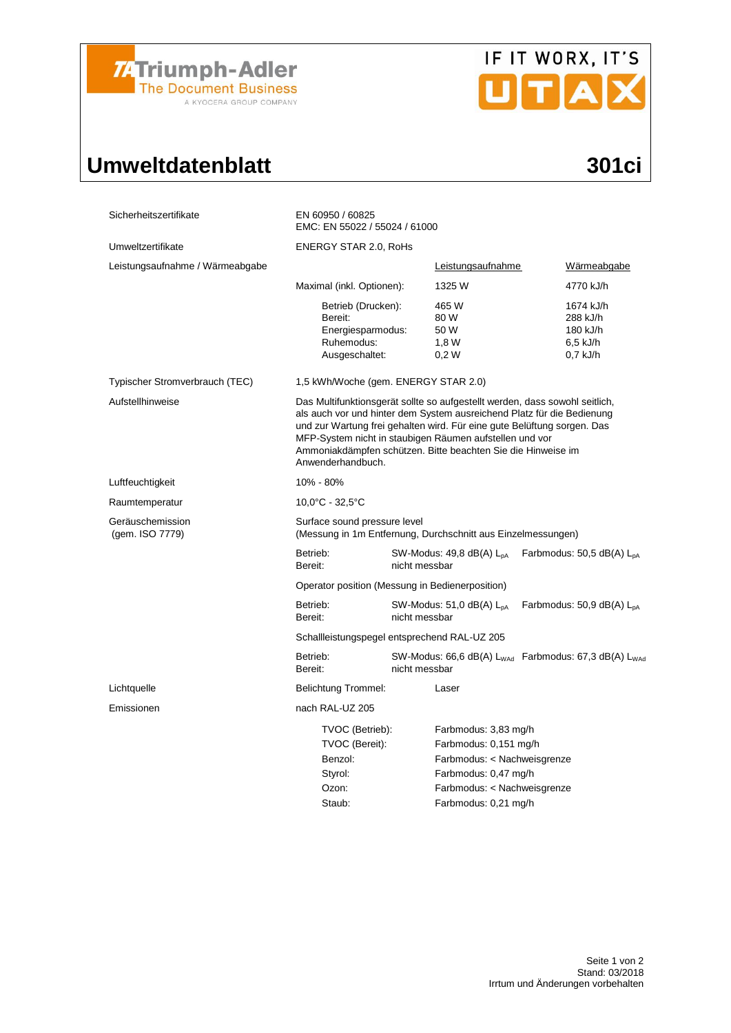

# IF IT WORX, IT'S

## Umweltdatenblatt 301ci

| Sicherheitszertifikate              | EN 60950 / 60825<br>EMC: EN 55022 / 55024 / 61000                                                                                                                                                                                                                                                                                                                                |                                                                                                                                                             |                                                             |  |  |  |
|-------------------------------------|----------------------------------------------------------------------------------------------------------------------------------------------------------------------------------------------------------------------------------------------------------------------------------------------------------------------------------------------------------------------------------|-------------------------------------------------------------------------------------------------------------------------------------------------------------|-------------------------------------------------------------|--|--|--|
| Umweltzertifikate                   | <b>ENERGY STAR 2.0, RoHs</b>                                                                                                                                                                                                                                                                                                                                                     |                                                                                                                                                             |                                                             |  |  |  |
| Leistungsaufnahme / Wärmeabgabe     |                                                                                                                                                                                                                                                                                                                                                                                  | Leistungsaufnahme                                                                                                                                           | Wärmeabgabe                                                 |  |  |  |
|                                     | Maximal (inkl. Optionen):                                                                                                                                                                                                                                                                                                                                                        | 1325 W                                                                                                                                                      | 4770 kJ/h                                                   |  |  |  |
|                                     | Betrieb (Drucken):<br>Bereit:<br>Energiesparmodus:<br>Ruhemodus:<br>Ausgeschaltet:                                                                                                                                                                                                                                                                                               | 465 W<br>80 W<br>50 W<br>1,8W<br>0.2W                                                                                                                       | 1674 kJ/h<br>288 kJ/h<br>180 kJ/h<br>6,5 kJ/h<br>$0.7$ kJ/h |  |  |  |
| Typischer Stromverbrauch (TEC)      | 1,5 kWh/Woche (gem. ENERGY STAR 2.0)                                                                                                                                                                                                                                                                                                                                             |                                                                                                                                                             |                                                             |  |  |  |
| Aufstellhinweise                    | Das Multifunktionsgerät sollte so aufgestellt werden, dass sowohl seitlich,<br>als auch vor und hinter dem System ausreichend Platz für die Bedienung<br>und zur Wartung frei gehalten wird. Für eine gute Belüftung sorgen. Das<br>MFP-System nicht in staubigen Räumen aufstellen und vor<br>Ammoniakdämpfen schützen. Bitte beachten Sie die Hinweise im<br>Anwenderhandbuch. |                                                                                                                                                             |                                                             |  |  |  |
| Luftfeuchtigkeit                    | 10% - 80%                                                                                                                                                                                                                                                                                                                                                                        |                                                                                                                                                             |                                                             |  |  |  |
| Raumtemperatur                      | $10.0^{\circ}$ C - 32.5 $^{\circ}$ C                                                                                                                                                                                                                                                                                                                                             |                                                                                                                                                             |                                                             |  |  |  |
| Geräuschemission<br>(gem. ISO 7779) | Surface sound pressure level<br>(Messung in 1m Entfernung, Durchschnitt aus Einzelmessungen)                                                                                                                                                                                                                                                                                     |                                                                                                                                                             |                                                             |  |  |  |
|                                     | Betrieb:<br>Bereit:                                                                                                                                                                                                                                                                                                                                                              | SW-Modus: 49,8 dB(A) L <sub>pA</sub><br>Farbmodus: 50,5 dB(A) $L_{DA}$<br>nicht messbar                                                                     |                                                             |  |  |  |
|                                     | Operator position (Messung in Bedienerposition)                                                                                                                                                                                                                                                                                                                                  |                                                                                                                                                             |                                                             |  |  |  |
|                                     | Betrieb:<br>Bereit:                                                                                                                                                                                                                                                                                                                                                              | SW-Modus: 51,0 dB(A) L <sub>pA</sub><br>Farbmodus: 50,9 dB(A) $L_{pA}$<br>nicht messbar                                                                     |                                                             |  |  |  |
|                                     | Schallleistungspegel entsprechend RAL-UZ 205                                                                                                                                                                                                                                                                                                                                     |                                                                                                                                                             |                                                             |  |  |  |
|                                     | Betrieb:<br>Bereit:                                                                                                                                                                                                                                                                                                                                                              | SW-Modus: 66,6 dB(A) $L_{WAd}$ Farbmodus: 67,3 dB(A) $L_{WAc}$<br>nicht messbar                                                                             |                                                             |  |  |  |
| Lichtquelle                         | <b>Belichtung Trommel:</b>                                                                                                                                                                                                                                                                                                                                                       | Laser                                                                                                                                                       |                                                             |  |  |  |
| Emissionen                          | nach RAL-UZ 205                                                                                                                                                                                                                                                                                                                                                                  |                                                                                                                                                             |                                                             |  |  |  |
|                                     | TVOC (Betrieb):<br>TVOC (Bereit):<br>Benzol:<br>Styrol:<br>Ozon:<br>Staub:                                                                                                                                                                                                                                                                                                       | Farbmodus: 3,83 mg/h<br>Farbmodus: 0,151 mg/h<br>Farbmodus: < Nachweisgrenze<br>Farbmodus: 0,47 mg/h<br>Farbmodus: < Nachweisgrenze<br>Farbmodus: 0,21 mg/h |                                                             |  |  |  |